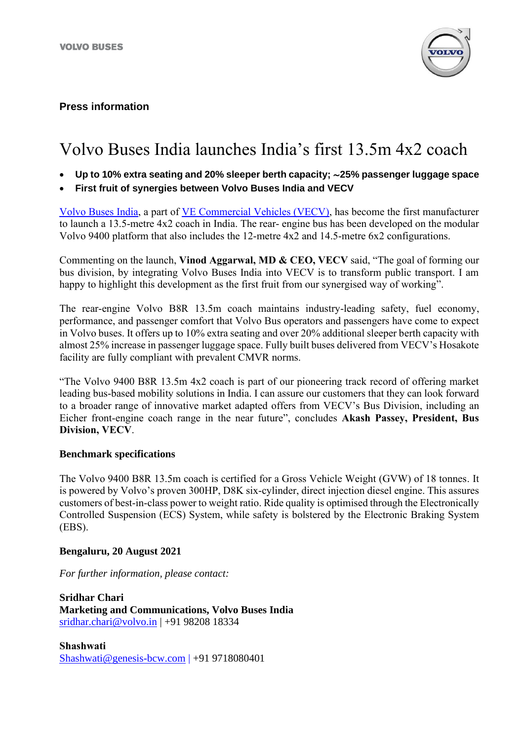

### **Press information**

# Volvo Buses India launches India's first 13.5m 4x2 coach

- **Up to 10% extra seating and 20% sleeper berth capacity;** ∼**25% passenger luggage space**
- **First fruit of synergies between Volvo Buses India and VECV**

[Volvo Buses India,](https://www.volvobuses.com/in/) a part of [VE Commercial Vehicles \(VECV\),](http://www.vecv.in/) has become the first manufacturer to launch a 13.5-metre 4x2 coach in India. The rear- engine bus has been developed on the modular Volvo 9400 platform that also includes the 12-metre 4x2 and 14.5-metre 6x2 configurations.

Commenting on the launch, **Vinod Aggarwal, MD & CEO, VECV** said, "The goal of forming our bus division, by integrating Volvo Buses India into VECV is to transform public transport. I am happy to highlight this development as the first fruit from our synergised way of working".

The rear-engine Volvo B8R 13.5m coach maintains industry-leading safety, fuel economy, performance, and passenger comfort that Volvo Bus operators and passengers have come to expect in Volvo buses. It offers up to 10% extra seating and over 20% additional sleeper berth capacity with almost 25% increase in passenger luggage space. Fully built buses delivered from VECV's Hosakote facility are fully compliant with prevalent CMVR norms.

"The Volvo 9400 B8R 13.5m 4x2 coach is part of our pioneering track record of offering market leading bus-based mobility solutions in India. I can assure our customers that they can look forward to a broader range of innovative market adapted offers from VECV's Bus Division, including an Eicher front-engine coach range in the near future", concludes **Akash Passey, President, Bus Division, VECV**.

#### **Benchmark specifications**

The Volvo 9400 B8R 13.5m coach is certified for a Gross Vehicle Weight (GVW) of 18 tonnes. It is powered by Volvo's proven 300HP, D8K six-cylinder, direct injection diesel engine. This assures customers of best-in-class power to weight ratio. Ride quality is optimised through the Electronically Controlled Suspension (ECS) System, while safety is bolstered by the Electronic Braking System (EBS).

#### **Bengaluru, 20 August 2021**

*For further information, please contact:*

**Sridhar Chari Marketing and Communications, Volvo Buses India** sridhar.chari@volvo.in | +91 98208 18334

**Shashwati** [Shashwati@genesis-bcw.com](mailto:Shashwati@genesis-bcw.com) | +91 9718080401